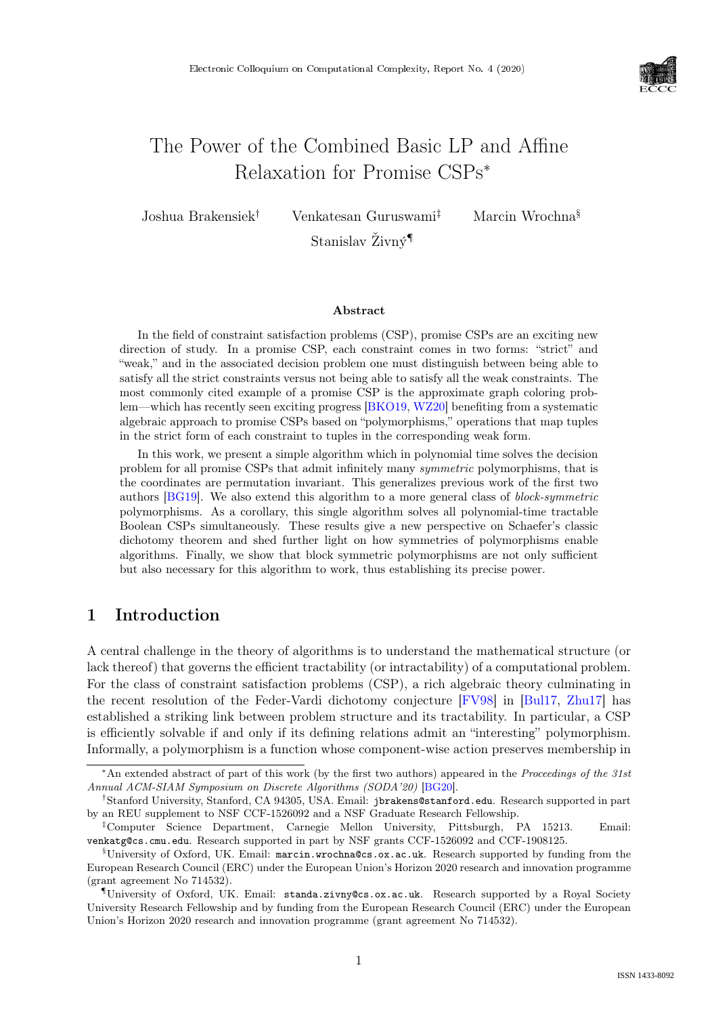

# The Power of the Combined Basic LP and Affine Relaxation for Promise CSPs<sup>∗</sup>

Joshua Brakensiek† Venkatesan Guruswami‡ Marcin Wrochna§

Stanislav Živný¶

#### Abstract

In the field of constraint satisfaction problems (CSP), promise CSPs are an exciting new direction of study. In a promise CSP, each constraint comes in two forms: "strict" and "weak," and in the associated decision problem one must distinguish between being able to satisfy all the strict constraints versus not being able to satisfy all the weak constraints. The most commonly cited example of a promise CSP is the approximate graph coloring problem—which has recently seen exciting progress [\[BKO19,](#page--1-0) [WZ20\]](#page--1-1) benefiting from a systematic algebraic approach to promise CSPs based on "polymorphisms," operations that map tuples in the strict form of each constraint to tuples in the corresponding weak form.

In this work, we present a simple algorithm which in polynomial time solves the decision problem for all promise CSPs that admit infinitely many symmetric polymorphisms, that is the coordinates are permutation invariant. This generalizes previous work of the first two authors [\[BG19\]](#page--1-2). We also extend this algorithm to a more general class of block-symmetric polymorphisms. As a corollary, this single algorithm solves all polynomial-time tractable Boolean CSPs simultaneously. These results give a new perspective on Schaefer's classic dichotomy theorem and shed further light on how symmetries of polymorphisms enable algorithms. Finally, we show that block symmetric polymorphisms are not only sufficient but also necessary for this algorithm to work, thus establishing its precise power.

# 1 Introduction

A central challenge in the theory of algorithms is to understand the mathematical structure (or lack thereof) that governs the efficient tractability (or intractability) of a computational problem. For the class of constraint satisfaction problems (CSP), a rich algebraic theory culminating in the recent resolution of the Feder-Vardi dichotomy conjecture [\[FV98\]](#page--1-3) in [\[Bul17,](#page--1-4) [Zhu17\]](#page--1-5) has established a striking link between problem structure and its tractability. In particular, a CSP is efficiently solvable if and only if its defining relations admit an "interesting" polymorphism. Informally, a polymorphism is a function whose component-wise action preserves membership in

<sup>∗</sup>An extended abstract of part of this work (by the first two authors) appeared in the Proceedings of the 31st Annual ACM-SIAM Symposium on Discrete Algorithms (SODA'20) [\[BG20\]](#page--1-6).

<sup>†</sup>Stanford University, Stanford, CA 94305, USA. Email: jbrakens@stanford.edu. Research supported in part by an REU supplement to NSF CCF-1526092 and a NSF Graduate Research Fellowship.

<sup>‡</sup>Computer Science Department, Carnegie Mellon University, Pittsburgh, PA 15213. Email: venkatg@cs.cmu.edu. Research supported in part by NSF grants CCF-1526092 and CCF-1908125.

 $\S$ University of Oxford, UK. Email: marcin.wrochna@cs.ox.ac.uk. Research supported by funding from the European Research Council (ERC) under the European Union's Horizon 2020 research and innovation programme (grant agreement No 714532).

<sup>¶</sup>University of Oxford, UK. Email: standa.zivny@cs.ox.ac.uk. Research supported by a Royal Society University Research Fellowship and by funding from the European Research Council (ERC) under the European Union's Horizon 2020 research and innovation programme (grant agreement No 714532).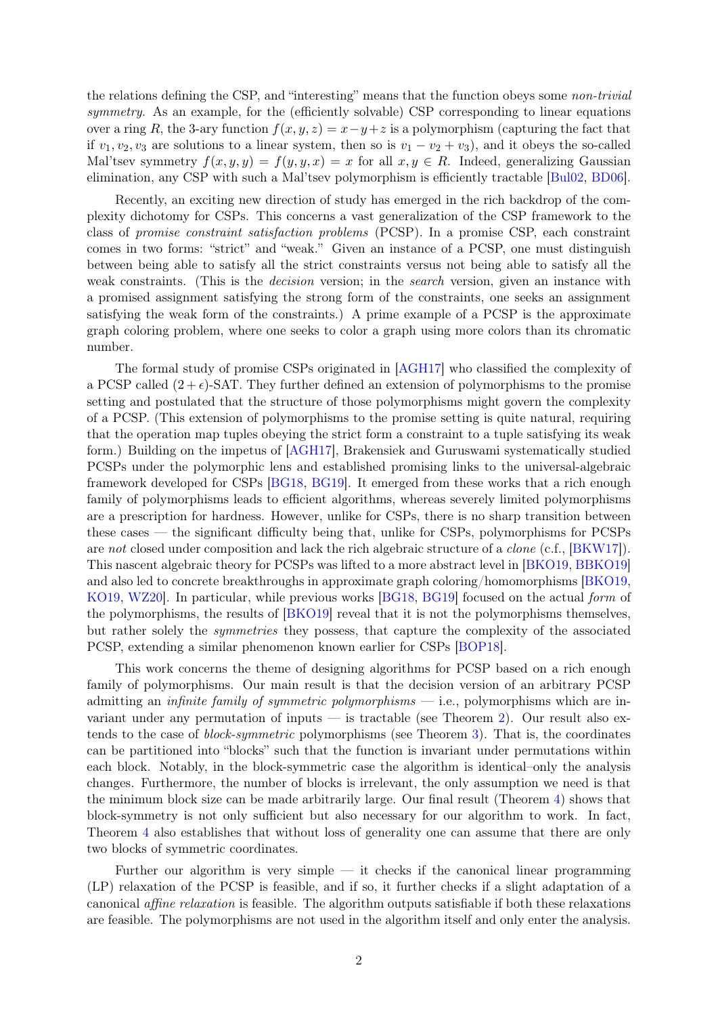the relations defining the CSP, and "interesting" means that the function obeys some non-trivial symmetry. As an example, for the (efficiently solvable) CSP corresponding to linear equations over a ring R, the 3-ary function  $f(x, y, z) = x - y + z$  is a polymorphism (capturing the fact that if  $v_1, v_2, v_3$  are solutions to a linear system, then so is  $v_1 - v_2 + v_3$ , and it obeys the so-called Mal'tsev symmetry  $f(x, y, y) = f(y, y, x) = x$  for all  $x, y \in R$ . Indeed, generalizing Gaussian elimination, any CSP with such a Mal'tsev polymorphism is efficiently tractable [\[Bul02,](#page-14-0) [BD06\]](#page-13-0).

Recently, an exciting new direction of study has emerged in the rich backdrop of the complexity dichotomy for CSPs. This concerns a vast generalization of the CSP framework to the class of promise constraint satisfaction problems (PCSP). In a promise CSP, each constraint comes in two forms: "strict" and "weak." Given an instance of a PCSP, one must distinguish between being able to satisfy all the strict constraints versus not being able to satisfy all the weak constraints. (This is the *decision* version; in the *search* version, given an instance with a promised assignment satisfying the strong form of the constraints, one seeks an assignment satisfying the weak form of the constraints.) A prime example of a PCSP is the approximate graph coloring problem, where one seeks to color a graph using more colors than its chromatic number.

The formal study of promise CSPs originated in [\[AGH17\]](#page-13-1) who classified the complexity of a PCSP called  $(2 + \epsilon)$ -SAT. They further defined an extension of polymorphisms to the promise setting and postulated that the structure of those polymorphisms might govern the complexity of a PCSP. (This extension of polymorphisms to the promise setting is quite natural, requiring that the operation map tuples obeying the strict form a constraint to a tuple satisfying its weak form.) Building on the impetus of [\[AGH17\]](#page-13-1), Brakensiek and Guruswami systematically studied PCSPs under the polymorphic lens and established promising links to the universal-algebraic framework developed for CSPs [\[BG18,](#page-13-2) [BG19\]](#page-13-3). It emerged from these works that a rich enough family of polymorphisms leads to efficient algorithms, whereas severely limited polymorphisms are a prescription for hardness. However, unlike for CSPs, there is no sharp transition between these cases — the significant difficulty being that, unlike for CSPs, polymorphisms for PCSPs are not closed under composition and lack the rich algebraic structure of a *clone* (c.f., [\[BKW17\]](#page-14-1)). This nascent algebraic theory for PCSPs was lifted to a more abstract level in [\[BKO19,](#page-13-4) [BBKO19\]](#page-13-5) and also led to concrete breakthroughs in approximate graph coloring/homomorphisms [\[BKO19,](#page-13-4) [KO19,](#page-14-2) WZ20. In particular, while previous works [\[BG18,](#page-13-2) [BG19\]](#page-13-3) focused on the actual form of the polymorphisms, the results of [\[BKO19\]](#page-13-4) reveal that it is not the polymorphisms themselves, but rather solely the symmetries they possess, that capture the complexity of the associated PCSP, extending a similar phenomenon known earlier for CSPs [\[BOP18\]](#page-14-4).

This work concerns the theme of designing algorithms for PCSP based on a rich enough family of polymorphisms. Our main result is that the decision version of an arbitrary PCSP admitting an infinite family of symmetric polymorphisms — i.e., polymorphisms which are invariant under any permutation of inputs  $-$  is tractable (see Theorem [2\)](#page-5-0). Our result also extends to the case of block-symmetric polymorphisms (see Theorem [3\)](#page-6-0). That is, the coordinates can be partitioned into "blocks" such that the function is invariant under permutations within each block. Notably, in the block-symmetric case the algorithm is identical–only the analysis changes. Furthermore, the number of blocks is irrelevant, the only assumption we need is that the minimum block size can be made arbitrarily large. Our final result (Theorem [4\)](#page-8-0) shows that block-symmetry is not only sufficient but also necessary for our algorithm to work. In fact, Theorem [4](#page-8-0) also establishes that without loss of generality one can assume that there are only two blocks of symmetric coordinates.

Further our algorithm is very simple — it checks if the canonical linear programming (LP) relaxation of the PCSP is feasible, and if so, it further checks if a slight adaptation of a canonical affine relaxation is feasible. The algorithm outputs satisfiable if both these relaxations are feasible. The polymorphisms are not used in the algorithm itself and only enter the analysis.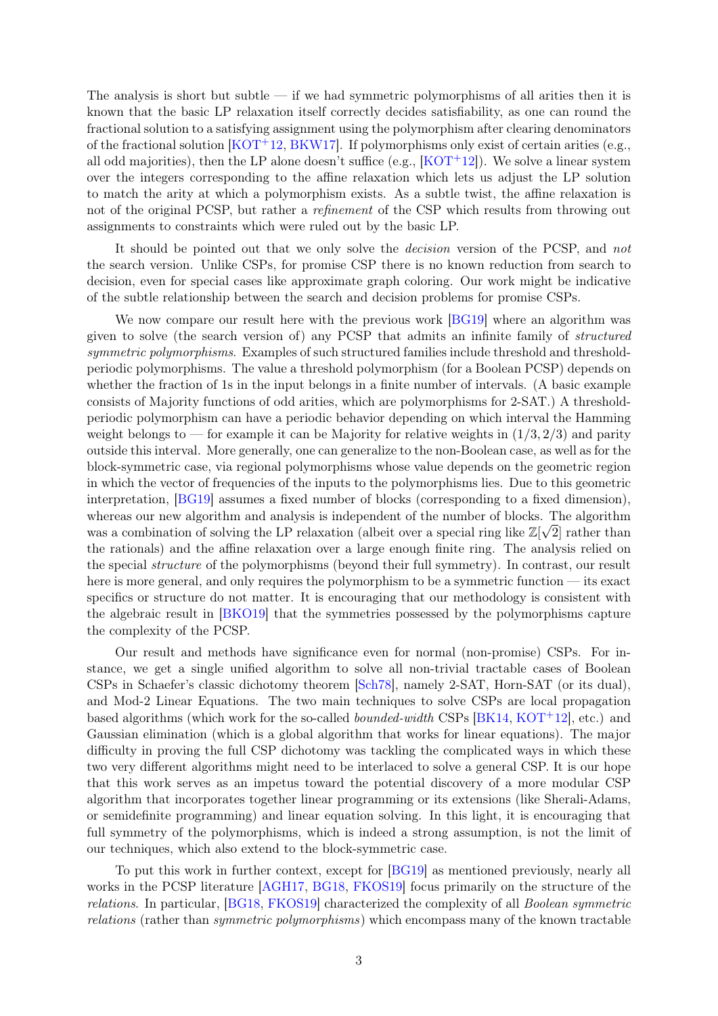The analysis is short but subtle  $\frac{d}{dt}$  if we had symmetric polymorphisms of all arities then it is known that the basic LP relaxation itself correctly decides satisfiability, as one can round the fractional solution to a satisfying assignment using the polymorphism after clearing denominators of the fractional solution [\[KOT](#page-14-5)<sup>+</sup>12, [BKW17\]](#page-14-1). If polymorphisms only exist of certain arities (e.g., all odd majorities), then the LP alone doesn't suffice (e.g.,  $[KOT^+12]$  $[KOT^+12]$ ). We solve a linear system over the integers corresponding to the affine relaxation which lets us adjust the LP solution to match the arity at which a polymorphism exists. As a subtle twist, the affine relaxation is not of the original PCSP, but rather a refinement of the CSP which results from throwing out assignments to constraints which were ruled out by the basic LP.

It should be pointed out that we only solve the *decision* version of the PCSP, and *not* the search version. Unlike CSPs, for promise CSP there is no known reduction from search to decision, even for special cases like approximate graph coloring. Our work might be indicative of the subtle relationship between the search and decision problems for promise CSPs.

We now compare our result here with the previous work [\[BG19\]](#page-13-3) where an algorithm was given to solve (the search version of) any PCSP that admits an infinite family of structured symmetric polymorphisms. Examples of such structured families include threshold and thresholdperiodic polymorphisms. The value a threshold polymorphism (for a Boolean PCSP) depends on whether the fraction of 1s in the input belongs in a finite number of intervals. (A basic example consists of Majority functions of odd arities, which are polymorphisms for 2-SAT.) A thresholdperiodic polymorphism can have a periodic behavior depending on which interval the Hamming weight belongs to — for example it can be Majority for relative weights in  $(1/3, 2/3)$  and parity outside this interval. More generally, one can generalize to the non-Boolean case, as well as for the block-symmetric case, via regional polymorphisms whose value depends on the geometric region in which the vector of frequencies of the inputs to the polymorphisms lies. Due to this geometric interpretation, [\[BG19\]](#page-13-3) assumes a fixed number of blocks (corresponding to a fixed dimension), whereas our new algorithm and analysis is independent of the number of blocks. The algorithm was a combination of solving the LP relaxation (albeit over a special ring like  $\mathbb{Z}[\sqrt{2}]$  rather than the rationals) and the affine relaxation over a large enough finite ring. The analysis relied on the special structure of the polymorphisms (beyond their full symmetry). In contrast, our result here is more general, and only requires the polymorphism to be a symmetric function — its exact specifics or structure do not matter. It is encouraging that our methodology is consistent with the algebraic result in [\[BKO19\]](#page-13-4) that the symmetries possessed by the polymorphisms capture the complexity of the PCSP.

Our result and methods have significance even for normal (non-promise) CSPs. For instance, we get a single unified algorithm to solve all non-trivial tractable cases of Boolean CSPs in Schaefer's classic dichotomy theorem [\[Sch78\]](#page-14-6), namely 2-SAT, Horn-SAT (or its dual), and Mod-2 Linear Equations. The two main techniques to solve CSPs are local propagation based algorithms (which work for the so-called bounded-width CSPs [\[BK14,](#page-13-6) [KOT](#page-14-5)+12], etc.) and Gaussian elimination (which is a global algorithm that works for linear equations). The major difficulty in proving the full CSP dichotomy was tackling the complicated ways in which these two very different algorithms might need to be interlaced to solve a general CSP. It is our hope that this work serves as an impetus toward the potential discovery of a more modular CSP algorithm that incorporates together linear programming or its extensions (like Sherali-Adams, or semidefinite programming) and linear equation solving. In this light, it is encouraging that full symmetry of the polymorphisms, which is indeed a strong assumption, is not the limit of our techniques, which also extend to the block-symmetric case.

To put this work in further context, except for [\[BG19\]](#page-13-3) as mentioned previously, nearly all works in the PCSP literature [\[AGH17,](#page-13-1) [BG18,](#page-13-2) [FKOS19\]](#page-14-7) focus primarily on the structure of the relations. In particular, [\[BG18,](#page-13-2) [FKOS19\]](#page-14-7) characterized the complexity of all Boolean symmetric relations (rather than symmetric polymorphisms) which encompass many of the known tractable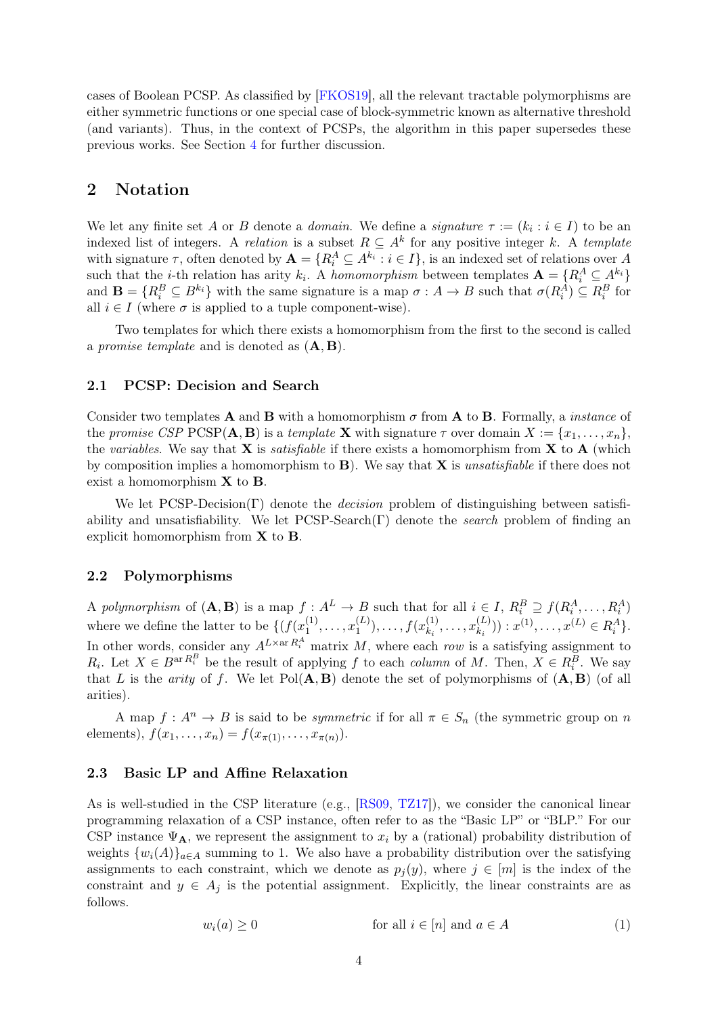cases of Boolean PCSP. As classified by [\[FKOS19\]](#page-14-7), all the relevant tractable polymorphisms are either symmetric functions or one special case of block-symmetric known as alternative threshold (and variants). Thus, in the context of PCSPs, the algorithm in this paper supersedes these previous works. See Section [4](#page-6-1) for further discussion.

# 2 Notation

We let any finite set A or B denote a *domain*. We define a *signature*  $\tau := (k_i : i \in I)$  to be an indexed list of integers. A relation is a subset  $R \subseteq A^k$  for any positive integer k. A template with signature  $\tau$ , often denoted by  $\mathbf{A} = \{R_i^A \subseteq A^{k_i} : i \in I\}$ , is an indexed set of relations over A such that the *i*-th relation has arity  $k_i$ . A homomorphism between templates  $\mathbf{A} = \{R_i^A \subseteq A^{k_i}\}\$ and  $\mathbf{B} = \{R_i^B \subseteq B^{k_i}\}\$  with the same signature is a map  $\sigma: A \to B$  such that  $\sigma(R_i^A) \subseteq R_i^B$  for all  $i \in I$  (where  $\sigma$  is applied to a tuple component-wise).

Two templates for which there exists a homomorphism from the first to the second is called a promise template and is denoted as  $(A, B)$ .

#### 2.1 PCSP: Decision and Search

Consider two templates **A** and **B** with a homomorphism  $\sigma$  from **A** to **B**. Formally, a *instance* of the promise CSP PCSP( $\mathbf{A}, \mathbf{B}$ ) is a template **X** with signature  $\tau$  over domain  $X := \{x_1, \ldots, x_n\}$ , the variables. We say that **X** is *satisfiable* if there exists a homomorphism from **X** to **A** (which by composition implies a homomorphism to  $\bf{B}$ ). We say that  $\bf{X}$  is unsatisfiable if there does not exist a homomorphism X to B.

We let PCSP-Decision(Γ) denote the *decision* problem of distinguishing between satisfiability and unsatisfiability. We let  $PCSP-Search(\Gamma)$  denote the *search* problem of finding an explicit homomorphism from  $X$  to  $B$ .

### 2.2 Polymorphisms

A polymorphism of  $(A, B)$  is a map  $f: A^L \to B$  such that for all  $i \in I$ ,  $R_i^B \supseteq f(R_i^A, \ldots, R_i^A)$ where we define the latter to be  $\{f(x_1^{(1)})\}$  $x_1^{(1)}, \ldots, x_1^{(L)}$  $\binom{L}{1}, \ldots, f(x_{k_i}^{(1)})$  $x_{k_i}^{(1)}, \ldots, x_{k_i}^{(L)}$  $(x_{k_i}^{(L)}) : x^{(1)}, \ldots, x^{(L)} \in R_i^A.$ In other words, consider any  $A^{L\times\text{ar }R_i^A}$  matrix M, where each row is a satisfying assignment to  $R_i$ . Let  $X \in B^{ar R_i^B}$  be the result of applying f to each column of M. Then,  $X \in R_i^B$ . We say that L is the arity of f. We let  $Pol(A, B)$  denote the set of polymorphisms of  $(A, B)$  (of all arities).

A map  $f: A^n \to B$  is said to be *symmetric* if for all  $\pi \in S_n$  (the symmetric group on n elements),  $f(x_1,...,x_n) = f(x_{\pi(1)},...,x_{\pi(n)})$ .

#### <span id="page-3-0"></span>2.3 Basic LP and Affine Relaxation

As is well-studied in the CSP literature (e.g., [\[RS09,](#page-14-8) [TZ17\]](#page-14-9)), we consider the canonical linear programming relaxation of a CSP instance, often refer to as the "Basic LP" or "BLP." For our CSP instance  $\Psi_{\mathbf{A}}$ , we represent the assignment to  $x_i$  by a (rational) probability distribution of weights  $\{w_i(A)\}_{a\in A}$  summing to 1. We also have a probability distribution over the satisfying assignments to each constraint, which we denote as  $p_i(y)$ , where  $j \in [m]$  is the index of the constraint and  $y \in A_j$  is the potential assignment. Explicitly, the linear constraints are as follows.

$$
w_i(a) \ge 0 \qquad \text{for all } i \in [n] \text{ and } a \in A \tag{1}
$$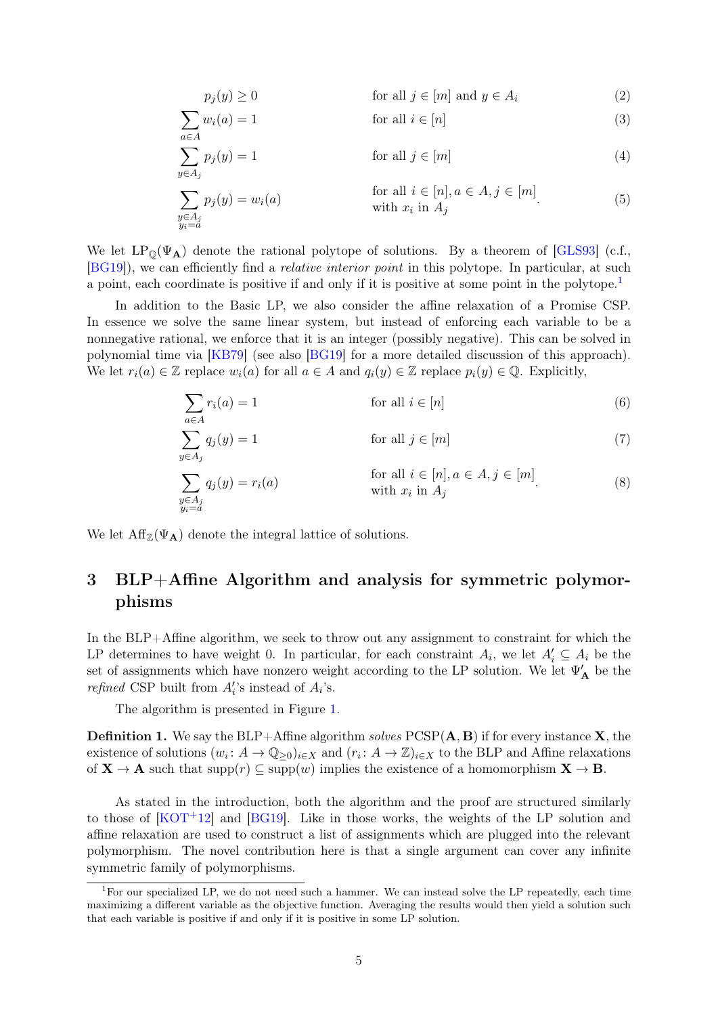$$
p_j(y) \ge 0 \qquad \text{for all } j \in [m] \text{ and } y \in A_i \tag{2}
$$

<span id="page-4-5"></span><span id="page-4-3"></span><span id="page-4-1"></span>
$$
w_i(a) = 1 \qquad \text{for all } i \in [n] \tag{3}
$$

$$
\sum_{a \in A} p_j(y) = 1
$$
 for all  $j \in [m]$  (4)

$$
y \in A_j
$$
  
\n
$$
\sum_{\substack{y \in A_j \\ y_i = a}} p_j(y) = w_i(a)
$$
 for all  $i \in [n], a \in A, j \in [m]$ .  
\nwith  $x_i$  in  $A_j$  (5)

We let  $LP_0(\Psi_A)$  denote the rational polytope of solutions. By a theorem of [\[GLS93\]](#page-14-10) (c.f., [\[BG19\]](#page-13-3)), we can efficiently find a relative interior point in this polytope. In particular, at such a point, each coordinate is positive if and only if it is positive at some point in the polytope.<sup>[1](#page-4-0)</sup>

In addition to the Basic LP, we also consider the affine relaxation of a Promise CSP. In essence we solve the same linear system, but instead of enforcing each variable to be a nonnegative rational, we enforce that it is an integer (possibly negative). This can be solved in polynomial time via [\[KB79\]](#page-14-11) (see also [\[BG19\]](#page-13-3) for a more detailed discussion of this approach). We let  $r_i(a) \in \mathbb{Z}$  replace  $w_i(a)$  for all  $a \in A$  and  $q_i(y) \in \mathbb{Z}$  replace  $p_i(y) \in \mathbb{Q}$ . Explicitly,

<span id="page-4-6"></span><span id="page-4-4"></span><span id="page-4-2"></span>
$$
\sum_{a \in A} r_i(a) = 1 \qquad \text{for all } i \in [n] \tag{6}
$$

$$
\sum_{y \in A_j}^{a \in A} q_j(y) = 1
$$
 for all  $j \in [m]$  (7)  

$$
\sum_{\substack{y \in A_j \\ y_i = a}} q_j(y) = r_i(a)
$$
 for all  $i \in [n], a \in A, j \in [m]$  (8)

We let  $\text{Aff}_{\mathbb{Z}}(\Psi_{\mathbf{A}})$  denote the integral lattice of solutions.

 $\sum$ 

# 3 BLP+Affine Algorithm and analysis for symmetric polymorphisms

In the BLP+Affine algorithm, we seek to throw out any assignment to constraint for which the LP determines to have weight 0. In particular, for each constraint  $A_i$ , we let  $A'_i \subseteq A_i$  be the set of assignments which have nonzero weight according to the LP solution. We let  $\Psi_{\bf A}'$  be the *refined* CSP built from  $A_i$ 's instead of  $A_i$ 's.

The algorithm is presented in Figure [1.](#page-5-1)

<span id="page-4-7"></span>**Definition 1.** We say the BLP+Affine algorithm solves  $PCSP(A, B)$  if for every instance **X**, the existence of solutions  $(w_i: A \to \mathbb{Q}_{\geq 0})_{i \in X}$  and  $(r_i: A \to \mathbb{Z})_{i \in X}$  to the BLP and Affine relaxations of  $X \to A$  such that  $\text{supp}(r) \subseteq \text{supp}(w)$  implies the existence of a homomorphism  $X \to B$ .

As stated in the introduction, both the algorithm and the proof are structured similarly to those of  $[KOT<sup>+</sup>12]$  $[KOT<sup>+</sup>12]$  and  $[BG19]$ . Like in those works, the weights of the LP solution and affine relaxation are used to construct a list of assignments which are plugged into the relevant polymorphism. The novel contribution here is that a single argument can cover any infinite symmetric family of polymorphisms.

<span id="page-4-0"></span><sup>&</sup>lt;sup>1</sup>For our specialized LP, we do not need such a hammer. We can instead solve the LP repeatedly, each time maximizing a different variable as the objective function. Averaging the results would then yield a solution such that each variable is positive if and only if it is positive in some LP solution.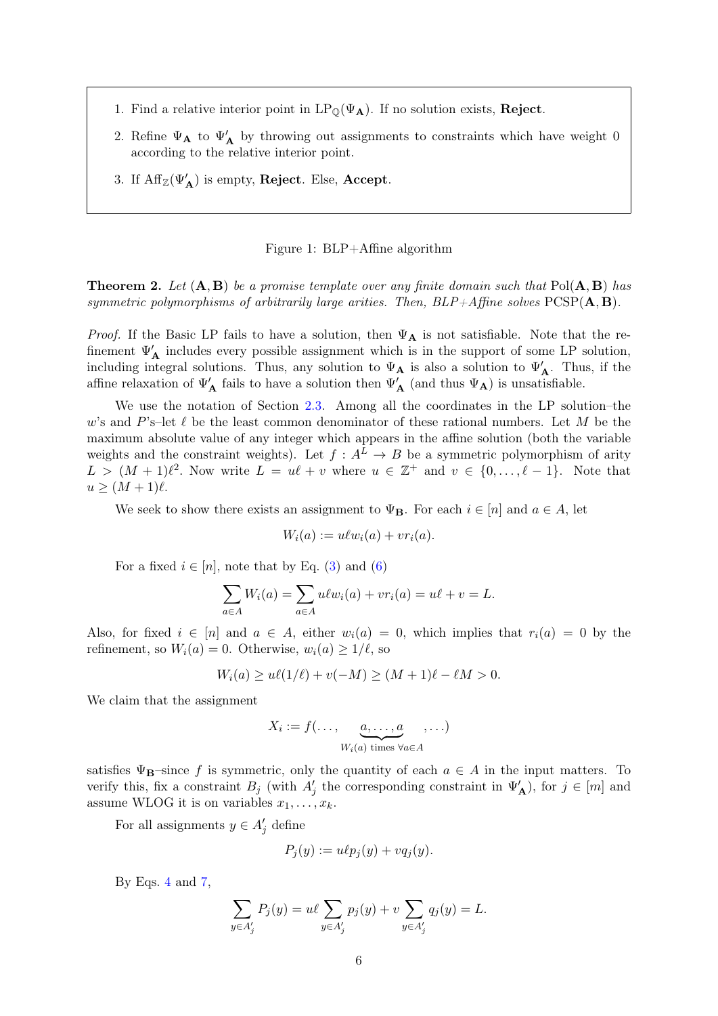- 1. Find a relative interior point in  $LP_{\mathbb{Q}}(\Psi_{\mathbf{A}})$ . If no solution exists, **Reject**.
- 2. Refine  $\Psi_{\mathbf{A}}$  to  $\Psi_{\mathbf{A}}'$  by throwing out assignments to constraints which have weight 0 according to the relative interior point.
- 3. If  $\mathrm{Aff}_{\mathbb{Z}}(\Psi'_{\mathbf{A}})$  is empty, **Reject**. Else, **Accept**.

#### <span id="page-5-1"></span>Figure 1: BLP+Affine algorithm

<span id="page-5-0"></span>**Theorem 2.** Let  $(A, B)$  be a promise template over any finite domain such that Pol $(A, B)$  has symmetric polymorphisms of arbitrarily large arities. Then,  $BLP+A$  fine solves  $PCSP(A, B)$ .

*Proof.* If the Basic LP fails to have a solution, then  $\Psi_A$  is not satisfiable. Note that the refinement  $\Psi_{\bf A}'$  includes every possible assignment which is in the support of some LP solution, including integral solutions. Thus, any solution to  $\Psi_{\bf A}$  is also a solution to  $\Psi'_{\bf A}$ . Thus, if the affine relaxation of  $\Psi'_{\bf A}$  fails to have a solution then  $\Psi'_{\bf A}$  (and thus  $\Psi_{\bf A}$ ) is unsatisfiable.

We use the notation of Section [2.3.](#page-3-0) Among all the coordinates in the LP solution–the w's and P's-let  $\ell$  be the least common denominator of these rational numbers. Let M be the maximum absolute value of any integer which appears in the affine solution (both the variable weights and the constraint weights). Let  $f : A^L \to B$  be a symmetric polymorphism of arity  $L > (M + 1)\ell^2$ . Now write  $L = u\ell + v$  where  $u \in \mathbb{Z}^+$  and  $v \in \{0, ..., \ell - 1\}$ . Note that  $u \geq (M + 1)\ell$ .

We seek to show there exists an assignment to  $\Psi_{\mathbf{B}}$ . For each  $i \in [n]$  and  $a \in A$ , let

$$
W_i(a) := u\ell w_i(a) + v r_i(a).
$$

For a fixed  $i \in [n]$ , note that by Eq. [\(3\)](#page-4-1) and [\(6\)](#page-4-2)

$$
\sum_{a \in A} W_i(a) = \sum_{a \in A} u \ell w_i(a) + v r_i(a) = u \ell + v = L.
$$

Also, for fixed  $i \in [n]$  and  $a \in A$ , either  $w_i(a) = 0$ , which implies that  $r_i(a) = 0$  by the refinement, so  $W_i(a) = 0$ . Otherwise,  $w_i(a) \geq 1/\ell$ , so

$$
W_i(a) \ge u\ell(1/\ell) + v(-M) \ge (M+1)\ell - \ell M > 0.
$$

We claim that the assignment

$$
X_i := f(\ldots, \underbrace{a, \ldots, a}_{W_i(a) \text{ times } \forall a \in A}, \ldots)
$$

satisfies  $\Psi_{\mathbf{B}}$ -since f is symmetric, only the quantity of each  $a \in A$  in the input matters. To verify this, fix a constraint  $B_j$  (with  $A'_j$  the corresponding constraint in  $\Psi'_{\mathbf{A}}$ ), for  $j \in [m]$  and assume WLOG it is on variables  $x_1, \ldots, x_k$ .

For all assignments  $y \in A'_{j}$  define

$$
P_j(y) := u \ell p_j(y) + v q_j(y).
$$

By Eqs. [4](#page-4-3) and [7,](#page-4-4)

$$
\sum_{y \in A'_j} P_j(y) = u\ell \sum_{y \in A'_j} p_j(y) + v \sum_{y \in A'_j} q_j(y) = L.
$$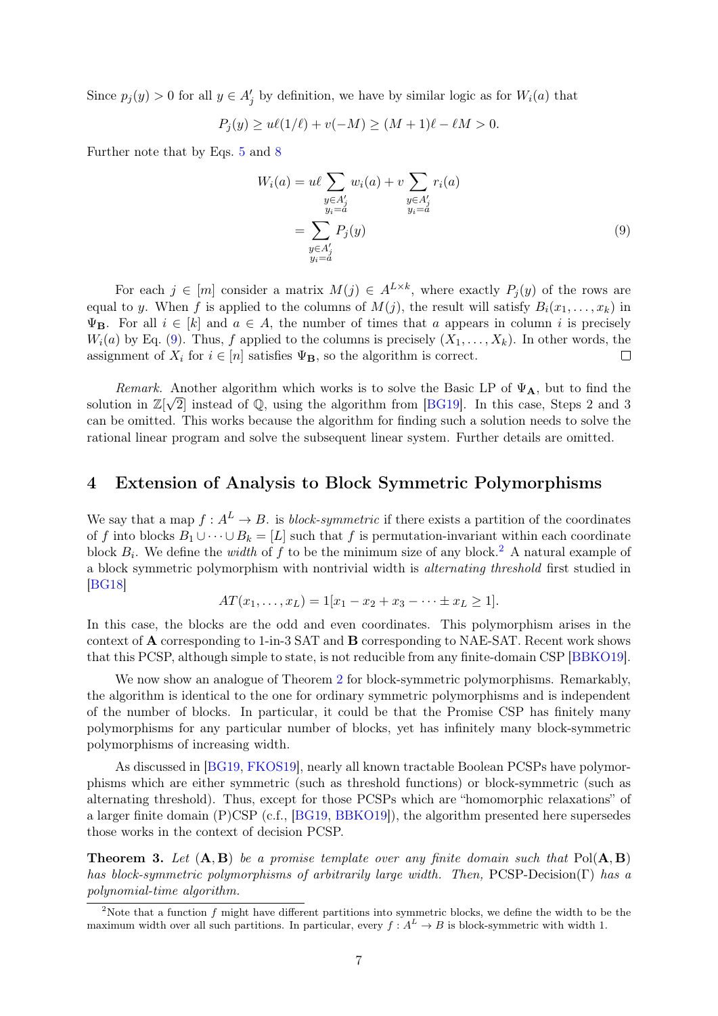Since  $p_j(y) > 0$  for all  $y \in A'_j$  by definition, we have by similar logic as for  $W_i(a)$  that

$$
P_j(y) \ge u\ell(1/\ell) + v(-M) \ge (M+1)\ell - \ell M > 0.
$$

Further note that by Eqs. [5](#page-4-5) and [8](#page-4-6)

<span id="page-6-2"></span>
$$
W_i(a) = u\ell \sum_{\substack{y \in A'_j \\ y_i = a}} w_i(a) + v \sum_{\substack{y \in A'_j \\ y_i = a}} r_i(a)
$$
  
= 
$$
\sum_{\substack{y \in A'_j \\ y_i = a}} P_j(y)
$$
 (9)

For each  $j \in [m]$  consider a matrix  $M(j) \in A^{L \times k}$ , where exactly  $P_j(y)$  of the rows are equal to y. When f is applied to the columns of  $M(j)$ , the result will satisfy  $B_i(x_1, \ldots, x_k)$  in  $\Psi_{\mathbf{B}}$ . For all  $i \in [k]$  and  $a \in A$ , the number of times that a appears in column i is precisely  $W_i(a)$  by Eq. [\(9\)](#page-6-2). Thus, f applied to the columns is precisely  $(X_1, \ldots, X_k)$ . In other words, the assignment of  $X_i$  for  $i \in [n]$  satisfies  $\Psi_{\mathbf{B}}$ , so the algorithm is correct.  $\Box$ 

Remark. Another algorithm which works is to solve the Basic LP of  $\Psi_{\mathbf{A}}$ , but to find the solution in  $\mathbb{Z}[\sqrt{2}]$  instead of Q, using the algorithm from [\[BG19\]](#page-13-3). In this case, Steps 2 and 3 can be omitted. This works because the algorithm for finding such a solution needs to solve the rational linear program and solve the subsequent linear system. Further details are omitted.

# <span id="page-6-1"></span>4 Extension of Analysis to Block Symmetric Polymorphisms

We say that a map  $f : A^L \to B$ . is block-symmetric if there exists a partition of the coordinates of f into blocks  $B_1 \cup \cdots \cup B_k = [L]$  such that f is permutation-invariant within each coordinate block  $B_i$ . We define the *width* of f to be the minimum size of any block.<sup>[2](#page-6-3)</sup> A natural example of a block symmetric polymorphism with nontrivial width is alternating threshold first studied in [\[BG18\]](#page-13-2)

$$
AT(x_1, \ldots, x_L) = 1[x_1 - x_2 + x_3 - \cdots \pm x_L \ge 1].
$$

In this case, the blocks are the odd and even coordinates. This polymorphism arises in the context of A corresponding to 1-in-3 SAT and B corresponding to NAE-SAT. Recent work shows that this PCSP, although simple to state, is not reducible from any finite-domain CSP [\[BBKO19\]](#page-13-5).

We now show an analogue of Theorem [2](#page-5-0) for block-symmetric polymorphisms. Remarkably, the algorithm is identical to the one for ordinary symmetric polymorphisms and is independent of the number of blocks. In particular, it could be that the Promise CSP has finitely many polymorphisms for any particular number of blocks, yet has infinitely many block-symmetric polymorphisms of increasing width.

As discussed in [\[BG19,](#page-13-3) [FKOS19\]](#page-14-7), nearly all known tractable Boolean PCSPs have polymorphisms which are either symmetric (such as threshold functions) or block-symmetric (such as alternating threshold). Thus, except for those PCSPs which are "homomorphic relaxations" of a larger finite domain (P)CSP (c.f., [\[BG19,](#page-13-3) [BBKO19\]](#page-13-5)), the algorithm presented here supersedes those works in the context of decision PCSP.

<span id="page-6-0"></span>**Theorem 3.** Let  $(A, B)$  be a promise template over any finite domain such that Pol $(A, B)$ has block-symmetric polymorphisms of arbitrarily large width. Then, PCSP-Decision(Γ) has a polynomial-time algorithm.

<span id="page-6-3"></span><sup>&</sup>lt;sup>2</sup>Note that a function f might have different partitions into symmetric blocks, we define the width to be the maximum width over all such partitions. In particular, every  $f: A^L \to B$  is block-symmetric with width 1.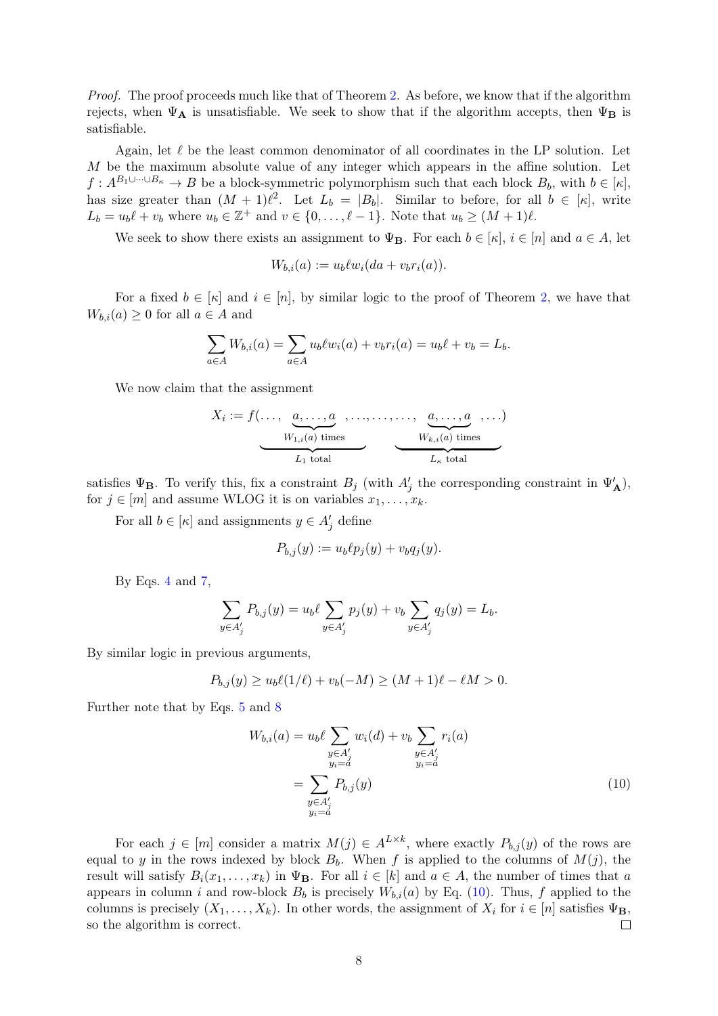Proof. The proof proceeds much like that of Theorem [2.](#page-5-0) As before, we know that if the algorithm rejects, when  $\Psi_{\mathbf{A}}$  is unsatisfiable. We seek to show that if the algorithm accepts, then  $\Psi_{\mathbf{B}}$  is satisfiable.

Again, let  $\ell$  be the least common denominator of all coordinates in the LP solution. Let  $M$  be the maximum absolute value of any integer which appears in the affine solution. Let  $f: A^{B_1\cup \cdots \cup B_{\kappa}} \to B$  be a block-symmetric polymorphism such that each block  $B_b$ , with  $b \in [\kappa]$ , has size greater than  $(M + 1)\ell^2$ . Let  $L_b = |B_b|$ . Similar to before, for all  $b \in [\kappa]$ , write  $L_b = u_b \ell + v_b$  where  $u_b \in \mathbb{Z}^+$  and  $v \in \{0, \ldots, \ell - 1\}$ . Note that  $u_b \geq (M + 1)\ell$ .

We seek to show there exists an assignment to  $\Psi_{\mathbf{B}}$ . For each  $b \in [\kappa]$ ,  $i \in [n]$  and  $a \in A$ , let

$$
W_{b,i}(a) := u_b \ell w_i(da + v_b r_i(a)).
$$

For a fixed  $b \in [\kappa]$  and  $i \in [n]$ , by similar logic to the proof of Theorem [2,](#page-5-0) we have that  $W_{h,i}(a) \geq 0$  for all  $a \in A$  and

$$
\sum_{a \in A} W_{b,i}(a) = \sum_{a \in A} u_b \ell w_i(a) + v_b r_i(a) = u_b \ell + v_b = L_b.
$$

We now claim that the assignment

$$
X_i := f(\ldots, \underbrace{a, \ldots, a}_{W_{1,i}(a) \text{ times}}, \ldots, \ldots, \ldots, a}_{L_1 \text{ total}}, \ldots)
$$

satisfies  $\Psi_{\mathbf{B}}$ . To verify this, fix a constraint  $B_j$  (with  $A'_j$  the corresponding constraint in  $\Psi'_{\mathbf{A}}$ ), for  $j \in [m]$  and assume WLOG it is on variables  $x_1, \ldots, x_k$ .

For all  $b \in [\kappa]$  and assignments  $y \in A'_{j}$  define

$$
P_{b,j}(y) := u_b \ell p_j(y) + v_b q_j(y).
$$

By Eqs.  $4$  and  $7$ ,

$$
\sum_{y \in A'_j} P_{b,j}(y) = u_b \ell \sum_{y \in A'_j} p_j(y) + v_b \sum_{y \in A'_j} q_j(y) = L_b.
$$

By similar logic in previous arguments,

$$
P_{b,j}(y)\ge u_b\ell(1/\ell)+v_b(-M)\ge (M+1)\ell-\ell M>0.
$$

Further note that by Eqs. [5](#page-4-5) and [8](#page-4-6)

<span id="page-7-0"></span>
$$
W_{b,i}(a) = u_b \ell \sum_{\substack{y \in A'_j \\ y_i = a}} w_i(d) + v_b \sum_{\substack{y \in A'_j \\ y_i = a}} r_i(a)
$$
  
= 
$$
\sum_{\substack{y \in A'_j \\ y_i = a}} P_{b,j}(y)
$$
 (10)

For each  $j \in [m]$  consider a matrix  $M(j) \in A^{L \times k}$ , where exactly  $P_{b,j}(y)$  of the rows are equal to y in the rows indexed by block  $B_b$ . When f is applied to the columns of  $M(j)$ , the result will satisfy  $B_i(x_1,\ldots,x_k)$  in  $\Psi_{\mathbf{B}}$ . For all  $i \in [k]$  and  $a \in A$ , the number of times that a appears in column i and row-block  $B_b$  is precisely  $W_{b,i}(a)$  by Eq. [\(10\)](#page-7-0). Thus, f applied to the columns is precisely  $(X_1, \ldots, X_k)$ . In other words, the assignment of  $X_i$  for  $i \in [n]$  satisfies  $\Psi_{\mathbf{B}}$ , so the algorithm is correct.  $\Box$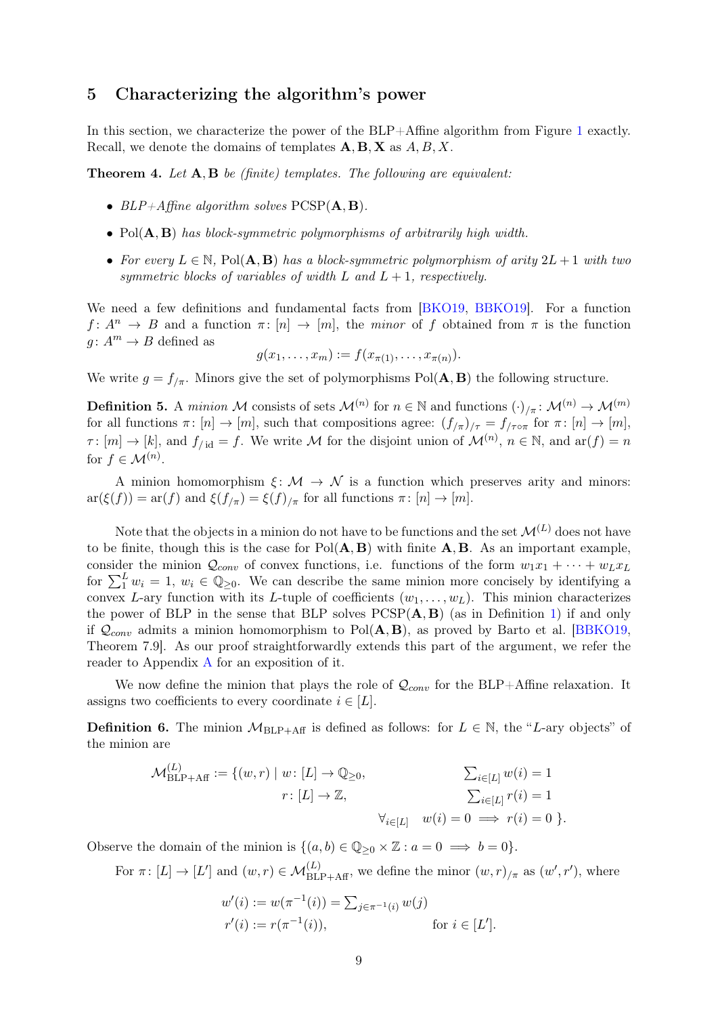# <span id="page-8-1"></span>5 Characterizing the algorithm's power

In this section, we characterize the power of the BLP+Affine algorithm from Figure [1](#page-5-1) exactly. Recall, we denote the domains of templates  $\mathbf{A}, \mathbf{B}, \mathbf{X}$  as  $A, B, X$ .

<span id="page-8-0"></span>Theorem 4. Let A, B be (finite) templates. The following are equivalent:

- $BLP+A$  ffine algorithm solves  $PCSP(\mathbf{A}, \mathbf{B})$ .
- Pol( $\bf{A}, \bf{B}$ ) has block-symmetric polymorphisms of arbitrarily high width.
- For every  $L \in \mathbb{N}$ , Pol(A, B) has a block-symmetric polymorphism of arity  $2L + 1$  with two symmetric blocks of variables of width L and  $L + 1$ , respectively.

We need a few definitions and fundamental facts from [\[BKO19,](#page-13-4) [BBKO19\]](#page-13-5). For a function  $f: A^n \to B$  and a function  $\pi: [n] \to [m]$ , the minor of f obtained from  $\pi$  is the function  $q: A^m \to B$  defined as

$$
g(x_1,...,x_m) := f(x_{\pi(1)},...,x_{\pi(n)}).
$$

We write  $g = f_{\text{tr}}$ . Minors give the set of polymorphisms Pol( $\mathbf{A}, \mathbf{B}$ ) the following structure.

**Definition 5.** A minion M consists of sets  $\mathcal{M}^{(n)}$  for  $n \in \mathbb{N}$  and functions  $\left(\cdot\right)_{/\pi} : \mathcal{M}^{(n)} \to \mathcal{M}^{(m)}$ for all functions  $\pi: [n] \to [m]$ , such that compositions agree:  $(f_{/\pi})_{/\tau} = f_{/\tau \circ \pi}$  for  $\pi: [n] \to [m]$ ,  $\tau \colon [m] \to [k]$ , and  $f_{/id} = f$ . We write M for the disjoint union of  $\mathcal{M}^{(n)}$ ,  $n \in \mathbb{N}$ , and  $\text{ar}(f) = n$ for  $f \in \mathcal{M}^{(n)}$ .

A minion homomorphism  $\xi: \mathcal{M} \to \mathcal{N}$  is a function which preserves arity and minors:  $ar(\xi(f)) = ar(f)$  and  $\xi(f_{/\pi}) = \xi(f)_{/\pi}$  for all functions  $\pi: [n] \to [m]$ .

Note that the objects in a minion do not have to be functions and the set  $\mathcal{M}^{(L)}$  does not have to be finite, though this is the case for  $Pol(A, B)$  with finite  $A, B$ . As an important example, consider the minion  $\mathcal{Q}_{conv}$  of convex functions, i.e. functions of the form  $w_1x_1 + \cdots + w_Lx_L$ for  $\sum_1^L w_i = 1$ ,  $w_i \in \mathbb{Q}_{\geq 0}$ . We can describe the same minion more concisely by identifying a convex L-ary function with its L-tuple of coefficients  $(w_1, \ldots, w_L)$ . This minion characterizes the power of BLP in the sense that BLP solves  $PCSP(A, B)$  (as in Definition [1\)](#page-4-7) if and only if  $Q_{conv}$  admits a minion homomorphism to Pol( $\mathbf{A}, \mathbf{B}$ ), as proved by Barto et al. [\[BBKO19,](#page-13-5) Theorem 7.9]. As our proof straightforwardly extends this part of the argument, we refer the reader to Appendix [A](#page-11-0) for an exposition of it.

We now define the minion that plays the role of  $\mathcal{Q}_{conv}$  for the BLP+Affine relaxation. It assigns two coefficients to every coordinate  $i \in [L]$ .

**Definition 6.** The minion  $M_{BLP+Aff}$  is defined as follows: for  $L \in \mathbb{N}$ , the "L-ary objects" of the minion are

$$
\mathcal{M}_{\text{BLP+Aff}}^{(L)} := \{ (w, r) \mid w \colon [L] \to \mathbb{Q}_{\geq 0}, \qquad \sum_{i \in [L]} w(i) = 1
$$
  

$$
r \colon [L] \to \mathbb{Z}, \qquad \sum_{i \in [L]} r(i) = 1
$$
  

$$
\forall_{i \in [L]} \quad w(i) = 0 \implies r(i) = 0 \}.
$$

Observe the domain of the minion is  $\{(a, b) \in \mathbb{Q}_{\geq 0} \times \mathbb{Z} : a = 0 \implies b = 0\}.$ 

For  $\pi: [L] \to [L']$  and  $(w,r) \in \mathcal{M}_{\text{BLP+Aff}}^{(L)}$ , we define the minor  $(w,r)_{/\pi}$  as  $(w',r')$ , where

$$
w'(i) := w(\pi^{-1}(i)) = \sum_{j \in \pi^{-1}(i)} w(j)
$$
  

$$
r'(i) := r(\pi^{-1}(i)), \quad \text{for } i \in [L'].
$$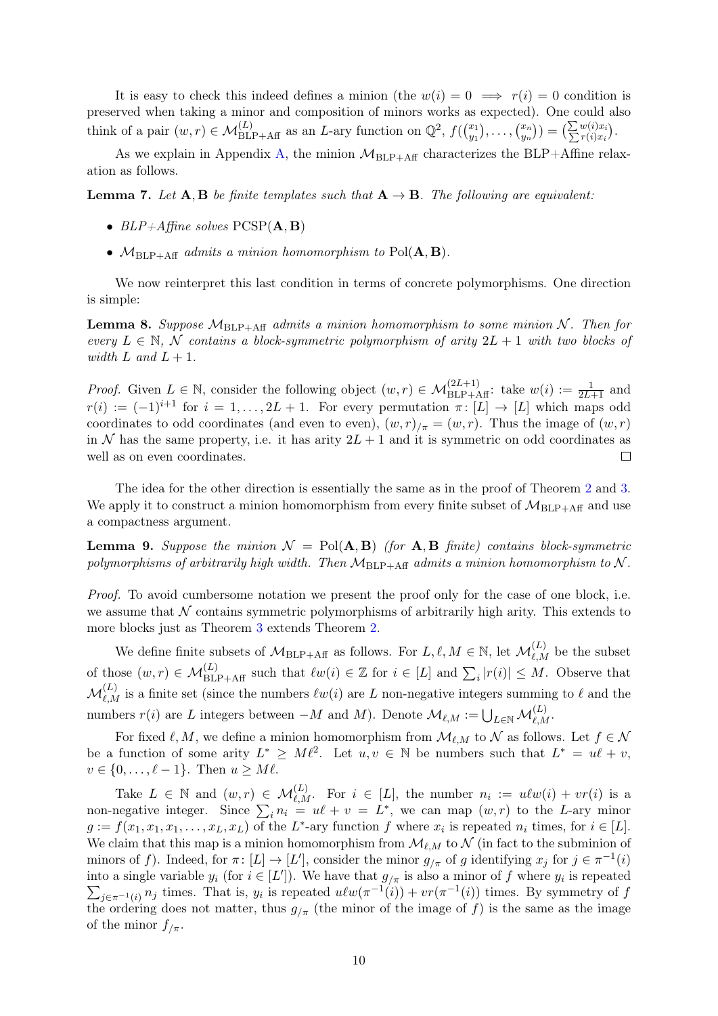It is easy to check this indeed defines a minion (the  $w(i) = 0 \implies r(i) = 0$  condition is preserved when taking a minor and composition of minors works as expected). One could also think of a pair  $(w, r) \in \mathcal{M}_{\text{BLP+Aff}}^{(L)}$  as an L-ary function on  $\mathbb{Q}^2$ ,  $f(\binom{x_1}{y_1}$  $\binom{x_1}{y_1},\ldots,\binom{x_n}{y_n}$  $\binom{x_n}{y_n}$  =  $\left(\frac{\sum w(i)x_i}{\sum r(i)x_i}\right)$ .

As we explain in Appendix [A,](#page-11-0) the minion  $\mathcal{M}_{BLP+Aff}$  characterizes the BLP+Affine relaxation as follows.

**Lemma 7.** Let  $A, B$  be finite templates such that  $A \rightarrow B$ . The following are equivalent:

- $BLP+A$  ffine solves  $PCSP(\mathbf{A}, \mathbf{B})$
- $M_{BLP+Aff}$  admits a minion homomorphism to Pol( $A, B$ ).

We now reinterpret this last condition in terms of concrete polymorphisms. One direction is simple:

**Lemma 8.** Suppose  $M_{BLP+Aff}$  admits a minion homomorphism to some minion N. Then for every  $L \in \mathbb{N}$ , N contains a block-symmetric polymorphism of arity  $2L + 1$  with two blocks of width  $L$  and  $L + 1$ .

*Proof.* Given  $L \in \mathbb{N}$ , consider the following object  $(w, r) \in \mathcal{M}_{BLP+Aff}^{(2L+1)}$ : take  $w(i) := \frac{1}{2L+1}$  and  $r(i) := (-1)^{i+1}$  for  $i = 1, ..., 2L + 1$ . For every permutation  $\pi: [L] \to [L]$  which maps odd coordinates to odd coordinates (and even to even),  $(w, r)_{\pi} = (w, r)$ . Thus the image of  $(w, r)$ in N has the same property, i.e. it has arity  $2L + 1$  and it is symmetric on odd coordinates as well as on even coordinates.  $\Box$ 

The idea for the other direction is essentially the same as in the proof of Theorem [2](#page-5-0) and [3.](#page-6-0) We apply it to construct a minion homomorphism from every finite subset of  $\mathcal{M}_{BLP+Aff}$  and use a compactness argument.

**Lemma 9.** Suppose the minion  $\mathcal{N} = \text{Pol}(\mathbf{A}, \mathbf{B})$  (for  $\mathbf{A}, \mathbf{B}$  finite) contains block-symmetric polymorphisms of arbitrarily high width. Then  $M_{BLP+Aff}$  admits a minion homomorphism to N.

Proof. To avoid cumbersome notation we present the proof only for the case of one block, i.e. we assume that  $N$  contains symmetric polymorphisms of arbitrarily high arity. This extends to more blocks just as Theorem [3](#page-6-0) extends Theorem [2.](#page-5-0)

We define finite subsets of  $M_{\text{BLP+Aff}}$  as follows. For  $L, \ell, M \in \mathbb{N}$ , let  $M_{\ell,M}^{(L)}$  be the subset of those  $(w, r) \in \mathcal{M}_{\text{BLP+Aff}}^{(L)}$  such that  $\ell w(i) \in \mathbb{Z}$  for  $i \in [L]$  and  $\sum_i |r(i)| \leq M$ . Observe that  $\mathcal{M}^{(L)}_{\ell,M}$  is a finite set (since the numbers  $\ell w(i)$  are L non-negative integers summing to  $\ell$  and the numbers  $r(i)$  are L integers between  $-M$  and M). Denote  $\mathcal{M}_{\ell,M} := \bigcup_{L \in \mathbb{N}} \mathcal{M}_{\ell,M}^{(L)}$ .

For fixed  $\ell, M$ , we define a minion homomorphism from  $\mathcal{M}_{\ell,M}$  to N as follows. Let  $f \in \mathcal{N}$ be a function of some arity  $L^* \geq M\ell^2$ . Let  $u, v \in \mathbb{N}$  be numbers such that  $L^* = u\ell + v$ ,  $v \in \{0, \ldots, \ell - 1\}$ . Then  $u \geq M \ell$ .

Take  $L \in \mathbb{N}$  and  $(w,r) \in \mathcal{M}_{\ell,M}^{(L)}$ . For  $i \in [L]$ , the number  $n_i := u \ell w(i) + v r(i)$  is a non-negative integer. Since  $\sum_i n_i = u\ell + v = L^*$ , we can map  $(w, r)$  to the L-ary minor  $g := f(x_1, x_1, x_1, \ldots, x_L, x_L)$  of the  $L^*$ -ary function f where  $x_i$  is repeated  $n_i$  times, for  $i \in [L]$ . We claim that this map is a minion homomorphism from  $\mathcal{M}_{\ell,M}$  to N (in fact to the subminion of minors of f). Indeed, for  $\pi: [L] \to [L']$ , consider the minor  $g_{/\pi}$  of g identifying  $x_j$  for  $j \in \pi^{-1}(i)$ into a single variable  $y_i$  (for  $i \in [L']$ ). We have that  $g_{/\pi}$  is also a minor of f where  $y_i$  is repeated  $\sum_{j \in \pi^{-1}(i)} n_j$  times. That is,  $y_i$  is repeated  $u \ell w(\pi^{-1}(i)) + v r(\pi^{-1}(i))$  times. By symmetry of f the ordering does not matter, thus  $g_{/\pi}$  (the minor of the image of f) is the same as the image of the minor  $f_{/\pi}$ .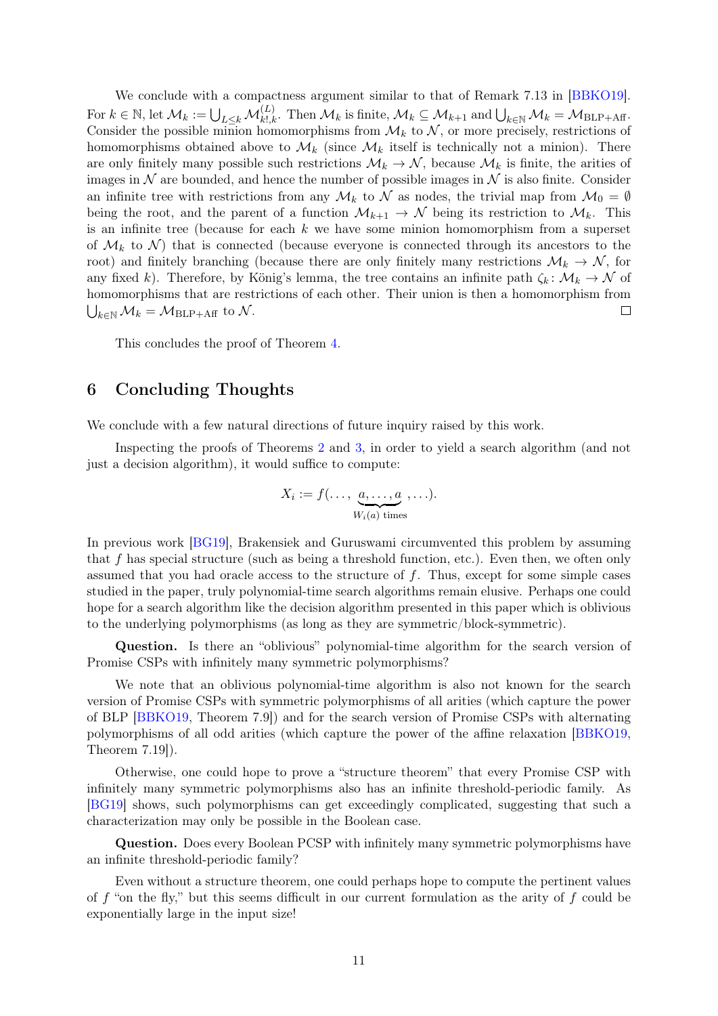We conclude with a compactness argument similar to that of Remark 7.13 in  $|BBKO19|$ . For  $k \in \mathbb{N}$ , let  $\mathcal{M}_k := \bigcup_{L \leq k} \mathcal{M}_{k, k}^{(L)}$ . Then  $\mathcal{M}_k$  is finite,  $\mathcal{M}_k \subseteq \mathcal{M}_{k+1}$  and  $\bigcup_{k \in \mathbb{N}} \mathcal{M}_k = \mathcal{M}_{\text{BLP+Aff}}$ . Consider the possible minion homomorphisms from  $\mathcal{M}_k$  to  $\mathcal{N}$ , or more precisely, restrictions of homomorphisms obtained above to  $\mathcal{M}_k$  (since  $\mathcal{M}_k$  itself is technically not a minion). There are only finitely many possible such restrictions  $\mathcal{M}_k \to \mathcal{N}$ , because  $\mathcal{M}_k$  is finite, the arities of images in  $\mathcal N$  are bounded, and hence the number of possible images in  $\mathcal N$  is also finite. Consider an infinite tree with restrictions from any  $\mathcal{M}_k$  to  $\mathcal N$  as nodes, the trivial map from  $\mathcal M_0 = \emptyset$ being the root, and the parent of a function  $\mathcal{M}_{k+1} \to \mathcal{N}$  being its restriction to  $\mathcal{M}_k$ . This is an infinite tree (because for each  $k$  we have some minion homomorphism from a superset of  $\mathcal{M}_k$  to  $\mathcal{N}$ ) that is connected (because everyone is connected through its ancestors to the root) and finitely branching (because there are only finitely many restrictions  $\mathcal{M}_k \to \mathcal{N}$ , for any fixed k). Therefore, by König's lemma, the tree contains an infinite path  $\zeta_k : \mathcal{M}_k \to \mathcal{N}$  of homomorphisms that are restrictions of each other. Their union is then a homomorphism from  $\bigcup_{k\in\mathbb{N}}\mathcal{M}_k=\mathcal{M}_{\operatorname{BLP+Aff}}$  to  $\mathcal{N}.$ □

This concludes the proof of Theorem [4.](#page-8-0)

# 6 Concluding Thoughts

We conclude with a few natural directions of future inquiry raised by this work.

Inspecting the proofs of Theorems [2](#page-5-0) and [3,](#page-6-0) in order to yield a search algorithm (and not just a decision algorithm), it would suffice to compute:

$$
X_i := f(\ldots, \underbrace{a, \ldots, a}_{W_i(a) \text{ times}}, \ldots).
$$

In previous work [\[BG19\]](#page-13-3), Brakensiek and Guruswami circumvented this problem by assuming that f has special structure (such as being a threshold function, etc.). Even then, we often only assumed that you had oracle access to the structure of f. Thus, except for some simple cases studied in the paper, truly polynomial-time search algorithms remain elusive. Perhaps one could hope for a search algorithm like the decision algorithm presented in this paper which is oblivious to the underlying polymorphisms (as long as they are symmetric/block-symmetric).

Question. Is there an "oblivious" polynomial-time algorithm for the search version of Promise CSPs with infinitely many symmetric polymorphisms?

We note that an oblivious polynomial-time algorithm is also not known for the search version of Promise CSPs with symmetric polymorphisms of all arities (which capture the power of BLP [\[BBKO19,](#page-13-5) Theorem 7.9]) and for the search version of Promise CSPs with alternating polymorphisms of all odd arities (which capture the power of the affine relaxation [\[BBKO19,](#page-13-5) Theorem 7.19]).

Otherwise, one could hope to prove a "structure theorem" that every Promise CSP with infinitely many symmetric polymorphisms also has an infinite threshold-periodic family. As [\[BG19\]](#page-13-3) shows, such polymorphisms can get exceedingly complicated, suggesting that such a characterization may only be possible in the Boolean case.

Question. Does every Boolean PCSP with infinitely many symmetric polymorphisms have an infinite threshold-periodic family?

Even without a structure theorem, one could perhaps hope to compute the pertinent values of f "on the fly," but this seems difficult in our current formulation as the arity of f could be exponentially large in the input size!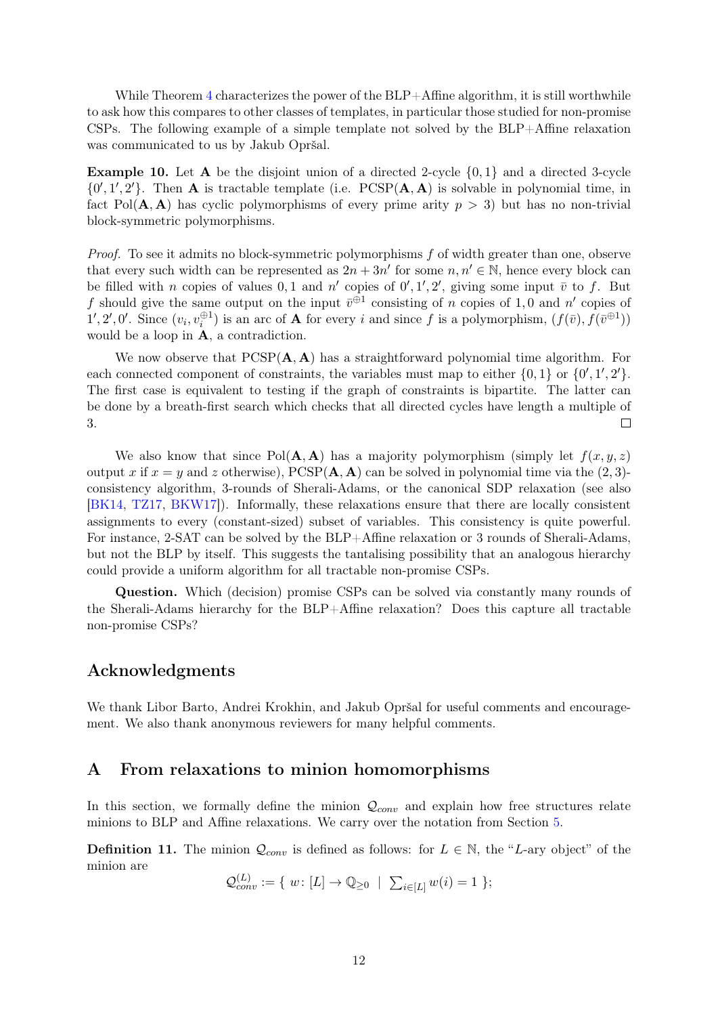While Theorem [4](#page-8-0) characterizes the power of the BLP+Affine algorithm, it is still worthwhile to ask how this compares to other classes of templates, in particular those studied for non-promise CSPs. The following example of a simple template not solved by the BLP+Affine relaxation was communicated to us by Jakub Opršal.

**Example 10.** Let **A** be the disjoint union of a directed 2-cycle  $\{0,1\}$  and a directed 3-cycle  $\{0', 1', 2'\}$ . Then **A** is tractable template (i.e. PCSP(**A**, **A**) is solvable in polynomial time, in fact Pol( $\bf{A}, \bf{A}$ ) has cyclic polymorphisms of every prime arity  $p > 3$ ) but has no non-trivial block-symmetric polymorphisms.

*Proof.* To see it admits no block-symmetric polymorphisms  $f$  of width greater than one, observe that every such width can be represented as  $2n + 3n'$  for some  $n, n' \in \mathbb{N}$ , hence every block can be filled with *n* copies of values 0, 1 and *n'* copies of  $0', 1', 2'$ , giving some input  $\bar{v}$  to f. But f should give the same output on the input  $\bar{v}^{\oplus 1}$  consisting of n copies of 1,0 and n' copies of 1', 2', 0'. Since  $(v_i, v_i^{\oplus 1})$  is an arc of **A** for every i and since f is a polymorphism,  $(f(\bar{v}), f(\bar{v}^{\oplus 1}))$ would be a loop in **A**, a contradiction.

We now observe that  $PCSP(A, A)$  has a straightforward polynomial time algorithm. For each connected component of constraints, the variables must map to either  $\{0,1\}$  or  $\{0',1',2'\}$ . The first case is equivalent to testing if the graph of constraints is bipartite. The latter can be done by a breath-first search which checks that all directed cycles have length a multiple of 3.  $\Box$ 

We also know that since  $Pol(A, A)$  has a majority polymorphism (simply let  $f(x, y, z)$ ) output x if  $x = y$  and z otherwise), PCSP( $\bf{A}, \bf{A}$ ) can be solved in polynomial time via the (2,3)consistency algorithm, 3-rounds of Sherali-Adams, or the canonical SDP relaxation (see also [\[BK14,](#page-13-6) [TZ17,](#page-14-9) [BKW17\]](#page-14-1)). Informally, these relaxations ensure that there are locally consistent assignments to every (constant-sized) subset of variables. This consistency is quite powerful. For instance, 2-SAT can be solved by the BLP+Affine relaxation or 3 rounds of Sherali-Adams, but not the BLP by itself. This suggests the tantalising possibility that an analogous hierarchy could provide a uniform algorithm for all tractable non-promise CSPs.

Question. Which (decision) promise CSPs can be solved via constantly many rounds of the Sherali-Adams hierarchy for the BLP+Affine relaxation? Does this capture all tractable non-promise CSPs?

# Acknowledgments

We thank Libor Barto, Andrei Krokhin, and Jakub Opršal for useful comments and encouragement. We also thank anonymous reviewers for many helpful comments.

# <span id="page-11-0"></span>A From relaxations to minion homomorphisms

In this section, we formally define the minion  $\mathcal{Q}_{conv}$  and explain how free structures relate minions to BLP and Affine relaxations. We carry over the notation from Section [5.](#page-8-1)

**Definition 11.** The minion  $\mathcal{Q}_{conv}$  is defined as follows: for  $L \in \mathbb{N}$ , the "L-ary object" of the minion are

$$
\mathcal{Q}_{conv}^{(L)} := \{ w : [L] \to \mathbb{Q}_{\geq 0} \mid \sum_{i \in [L]} w(i) = 1 \};
$$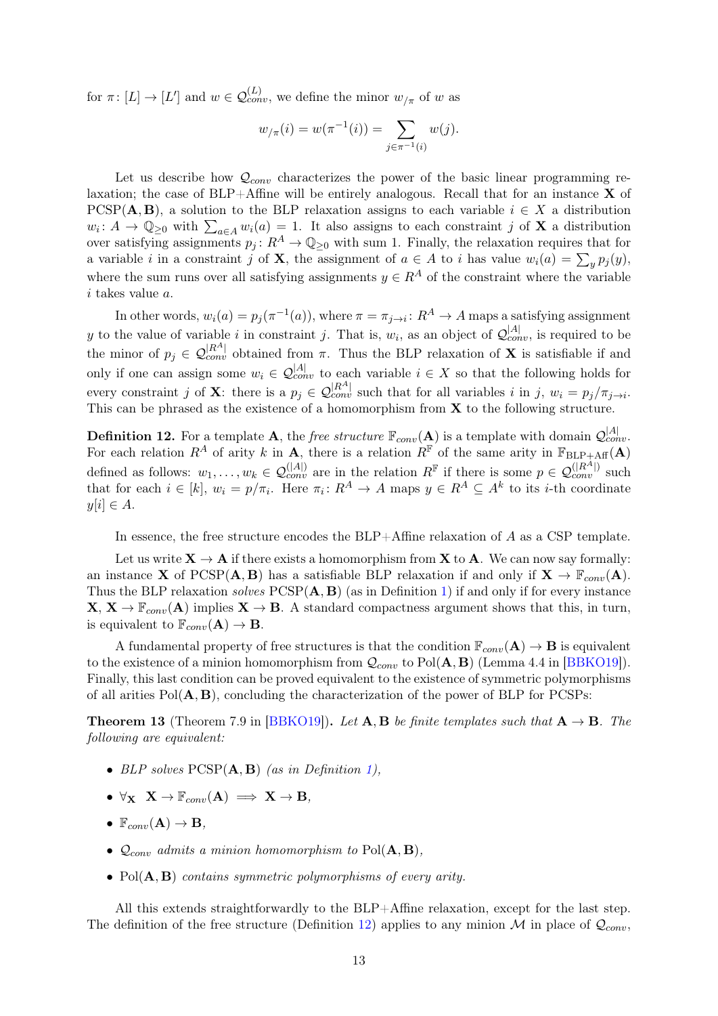for  $\pi \colon [L] \to [L']$  and  $w \in \mathcal{Q}_{conv}^{(L)}$ , we define the minor  $w_{/\pi}$  of w as

$$
w_{/\pi}(i) = w(\pi^{-1}(i)) = \sum_{j \in \pi^{-1}(i)} w(j).
$$

Let us describe how  $\mathcal{Q}_{conv}$  characterizes the power of the basic linear programming relaxation; the case of  $BLP+Affine$  will be entirely analogous. Recall that for an instance  $X$  of PCSP( $\mathbf{A}, \mathbf{B}$ ), a solution to the BLP relaxation assigns to each variable  $i \in X$  a distribution  $w_i: A \to \mathbb{Q}_{\geq 0}$  with  $\sum_{a \in A} w_i(a) = 1$ . It also assigns to each constraint j of **X** a distribution over satisfying assignments  $p_j: R^A \to \mathbb{Q}_{\geq 0}$  with sum 1. Finally, the relaxation requires that for a variable *i* in a constraint *j* of **X**, the assignment of  $a \in A$  to *i* has value  $w_i(a) = \sum_y p_j(y)$ , where the sum runs over all satisfying assignments  $y \in R^A$  of the constraint where the variable i takes value a.

In other words,  $w_i(a) = p_j(\pi^{-1}(a))$ , where  $\pi = \pi_{j \to i}: R^A \to A$  maps a satisfying assignment y to the value of variable i in constraint j. That is,  $w_i$ , as an object of  $\mathcal{Q}_{conv}^{[A]}$ , is required to be the minor of  $p_j \in \mathcal{Q}_{conv}^{R^A}$  obtained from  $\pi$ . Thus the BLP relaxation of **X** is satisfiable if and only if one can assign some  $w_i \in \mathcal{Q}_{conv}^{|\mathcal{A}|}$  to each variable  $i \in X$  so that the following holds for every constraint j of **X**: there is a  $p_j \in \mathcal{Q}_{conv}^{[R^A]}$  such that for all variables i in j,  $w_i = p_j/\pi_{j \to i}$ . This can be phrased as the existence of a homomorphism from  $X$  to the following structure.

<span id="page-12-0"></span>**Definition 12.** For a template **A**, the *free structure*  $\mathbb{F}_{conv}(\mathbf{A})$  is a template with domain  $\mathcal{Q}_{conv}^{[A]}$ . For each relation  $R^A$  of arity k in **A**, there is a relation  $R^F$  of the same arity in  $\mathbb{F}_{BLP+Aff}(A)$ defined as follows:  $w_1, \ldots, w_k \in \mathcal{Q}_{conv}^{(|A|)}$  are in the relation  $R^{\mathbb{F}}$  if there is some  $p \in \mathcal{Q}_{conv}^{(|R^A|)}$  such that for each  $i \in [k]$ ,  $w_i = p/\pi_i$ . Here  $\pi_i: R^A \to A$  maps  $y \in R^A \subseteq A^k$  to its *i*-th coordinate  $y[i] \in A$ .

In essence, the free structure encodes the  $BLP+Affine$  relaxation of  $A$  as a CSP template.

Let us write  $X \to A$  if there exists a homomorphism from X to A. We can now say formally: an instance **X** of PCSP( $\mathbf{A}, \mathbf{B}$ ) has a satisfiable BLP relaxation if and only if  $\mathbf{X} \to \mathbb{F}_{conv}(\mathbf{A})$ . Thus the BLP relaxation solves  $PCSP(A, B)$  (as in Definition [1\)](#page-4-7) if and only if for every instance  $X, X \to \mathbb{F}_{conv}(A)$  implies  $X \to B$ . A standard compactness argument shows that this, in turn, is equivalent to  $\mathbb{F}_{conv}(\mathbf{A}) \to \mathbf{B}$ .

A fundamental property of free structures is that the condition  $\mathbb{F}_{conv}(\mathbf{A}) \to \mathbf{B}$  is equivalent to the existence of a minion homomorphism from  $Q_{conv}$  to Pol( $\bf{A}, \bf{B}$ ) (Lemma 4.4 in [\[BBKO19\]](#page-13-5)). Finally, this last condition can be proved equivalent to the existence of symmetric polymorphisms of all arities  $Pol(\mathbf{A}, \mathbf{B})$ , concluding the characterization of the power of BLP for PCSPs:

**Theorem 13** (Theorem 7.9 in [\[BBKO19\]](#page-13-5)). Let **A**, **B** be finite templates such that  $\mathbf{A} \to \mathbf{B}$ . The following are equivalent:

- BLP solves  $PCSP(A, B)$  (as in Definition [1\)](#page-4-7),
- $\forall$ **x**  $X \to \mathbb{F}_{conv}(A) \implies X \to B$ .
- $\mathbb{F}_{conv}(\mathbf{A}) \to \mathbf{B}$ ,
- $Q_{conv}$  admits a minion homomorphism to Pol( $A, B$ ),
- $Pol(A, B)$  contains symmetric polymorphisms of every arity.

All this extends straightforwardly to the BLP+Affine relaxation, except for the last step. The definition of the free structure (Definition [12\)](#page-12-0) applies to any minion M in place of  $Q_{conv}$ ,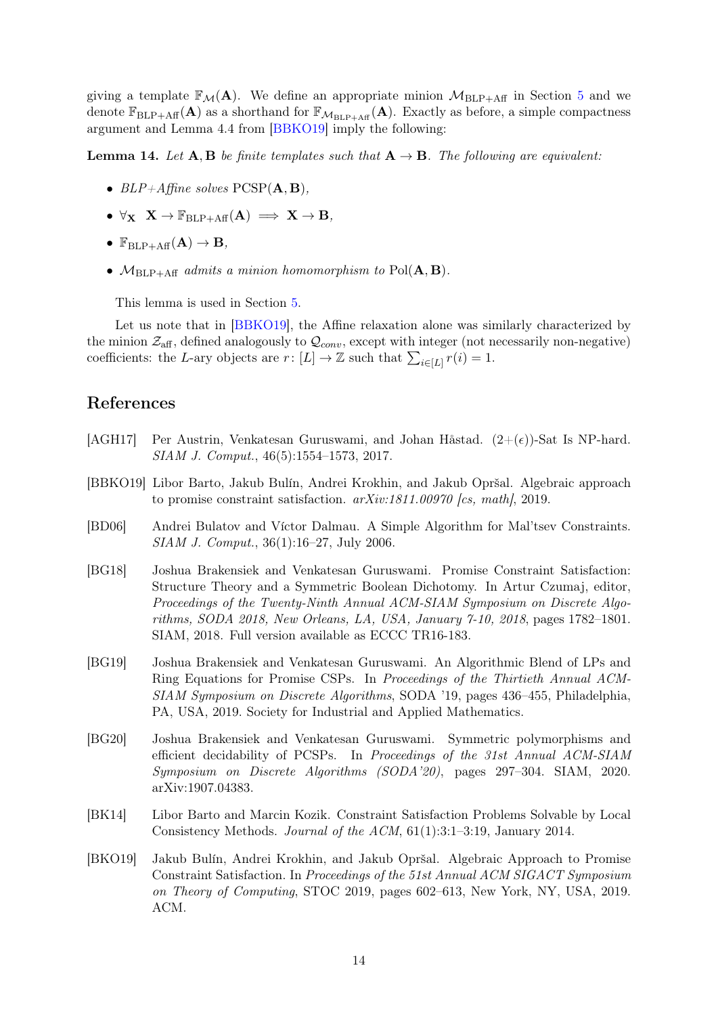giving a template  $\mathbb{F}_{\mathcal{M}}(A)$ . We define an appropriate minion  $\mathcal{M}_{BLP+Aff}$  in Section [5](#page-8-1) and we denote  $\mathbb{F}_{BLP+Aff}(A)$  as a shorthand for  $\mathbb{F}_{M_{BLP+Aff}}(A)$ . Exactly as before, a simple compactness argument and Lemma 4.4 from [\[BBKO19\]](#page-13-5) imply the following:

**Lemma 14.** Let  $A, B$  be finite templates such that  $A \rightarrow B$ . The following are equivalent:

- $BLP+A$  ffine solves  $PCSP(\mathbf{A}, \mathbf{B})$ ,
- $\forall$ **X**  $X \rightarrow \mathbb{F}_{BLP+Aff}(A) \implies X \rightarrow B$ .
- $\mathbb{F}_{BLP+Aff}(\mathbf{A}) \to \mathbf{B}$ ,
- $M_{BLP+Aff}$  admits a minion homomorphism to Pol( $A, B$ ).

This lemma is used in Section [5.](#page-8-1)

Let us note that in [\[BBKO19\]](#page-13-5), the Affine relaxation alone was similarly characterized by the minion  $\mathcal{Z}_{\text{aff}}$ , defined analogously to  $\mathcal{Q}_{conv}$ , except with integer (not necessarily non-negative) coefficients: the L-ary objects are  $r: [L] \to \mathbb{Z}$  such that  $\sum_{i \in [L]} r(i) = 1$ .

### References

- <span id="page-13-1"></span>[AGH17] Per Austrin, Venkatesan Guruswami, and Johan Håstad.  $(2+(\epsilon))$ -Sat Is NP-hard. SIAM J. Comput., 46(5):1554–1573, 2017.
- <span id="page-13-5"></span>[BBKO19] Libor Barto, Jakub Bulín, Andrei Krokhin, and Jakub Opršal. Algebraic approach to promise constraint satisfaction.  $arXiv:1811.00970$  [cs, math], 2019.
- <span id="page-13-0"></span>[BD06] Andrei Bulatov and Víctor Dalmau. A Simple Algorithm for Mal'tsev Constraints. SIAM J. Comput., 36(1):16–27, July 2006.
- <span id="page-13-2"></span>[BG18] Joshua Brakensiek and Venkatesan Guruswami. Promise Constraint Satisfaction: Structure Theory and a Symmetric Boolean Dichotomy. In Artur Czumaj, editor, Proceedings of the Twenty-Ninth Annual ACM-SIAM Symposium on Discrete Algorithms, SODA 2018, New Orleans, LA, USA, January 7-10, 2018, pages 1782–1801. SIAM, 2018. Full version available as ECCC TR16-183.
- <span id="page-13-3"></span>[BG19] Joshua Brakensiek and Venkatesan Guruswami. An Algorithmic Blend of LPs and Ring Equations for Promise CSPs. In Proceedings of the Thirtieth Annual ACM-SIAM Symposium on Discrete Algorithms, SODA '19, pages 436–455, Philadelphia, PA, USA, 2019. Society for Industrial and Applied Mathematics.
- [BG20] Joshua Brakensiek and Venkatesan Guruswami. Symmetric polymorphisms and efficient decidability of PCSPs. In Proceedings of the 31st Annual ACM-SIAM Symposium on Discrete Algorithms (SODA'20), pages 297–304. SIAM, 2020. arXiv:1907.04383.
- <span id="page-13-6"></span>[BK14] Libor Barto and Marcin Kozik. Constraint Satisfaction Problems Solvable by Local Consistency Methods. Journal of the ACM, 61(1):3:1–3:19, January 2014.
- <span id="page-13-4"></span>[BKO19] Jakub Bulín, Andrei Krokhin, and Jakub Opršal. Algebraic Approach to Promise Constraint Satisfaction. In Proceedings of the 51st Annual ACM SIGACT Symposium on Theory of Computing, STOC 2019, pages 602–613, New York, NY, USA, 2019. ACM.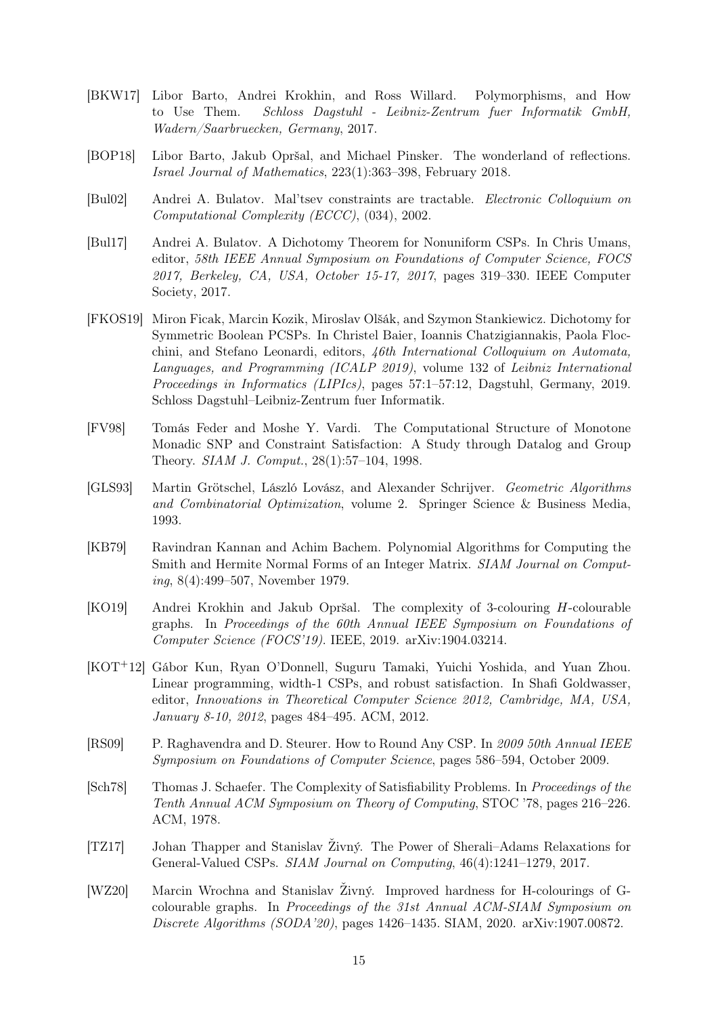- <span id="page-14-1"></span>[BKW17] Libor Barto, Andrei Krokhin, and Ross Willard. Polymorphisms, and How to Use Them. Schloss Dagstuhl - Leibniz-Zentrum fuer Informatik GmbH, Wadern/Saarbruecken, Germany, 2017.
- <span id="page-14-4"></span>[BOP18] Libor Barto, Jakub Opršal, and Michael Pinsker. The wonderland of reflections. Israel Journal of Mathematics, 223(1):363–398, February 2018.
- <span id="page-14-0"></span>[Bul02] Andrei A. Bulatov. Mal'tsev constraints are tractable. Electronic Colloquium on Computational Complexity (ECCC), (034), 2002.
- [Bul17] Andrei A. Bulatov. A Dichotomy Theorem for Nonuniform CSPs. In Chris Umans, editor, 58th IEEE Annual Symposium on Foundations of Computer Science, FOCS 2017, Berkeley, CA, USA, October 15-17, 2017, pages 319–330. IEEE Computer Society, 2017.
- <span id="page-14-7"></span>[FKOS19] Miron Ficak, Marcin Kozik, Miroslav Olšák, and Szymon Stankiewicz. Dichotomy for Symmetric Boolean PCSPs. In Christel Baier, Ioannis Chatzigiannakis, Paola Flocchini, and Stefano Leonardi, editors, 46th International Colloquium on Automata, Languages, and Programming (ICALP 2019), volume 132 of Leibniz International Proceedings in Informatics (LIPIcs), pages 57:1–57:12, Dagstuhl, Germany, 2019. Schloss Dagstuhl–Leibniz-Zentrum fuer Informatik.
- [FV98] Tomás Feder and Moshe Y. Vardi. The Computational Structure of Monotone Monadic SNP and Constraint Satisfaction: A Study through Datalog and Group Theory. SIAM J. Comput., 28(1):57–104, 1998.
- <span id="page-14-10"></span>[GLS93] Martin Grötschel, László Lovász, and Alexander Schrijver. Geometric Algorithms and Combinatorial Optimization, volume 2. Springer Science & Business Media, 1993.
- <span id="page-14-11"></span>[KB79] Ravindran Kannan and Achim Bachem. Polynomial Algorithms for Computing the Smith and Hermite Normal Forms of an Integer Matrix. SIAM Journal on Computing, 8(4):499–507, November 1979.
- <span id="page-14-2"></span>[KO19] Andrei Krokhin and Jakub Opršal. The complexity of 3-colouring H-colourable graphs. In Proceedings of the 60th Annual IEEE Symposium on Foundations of Computer Science (FOCS'19). IEEE, 2019. arXiv:1904.03214.
- <span id="page-14-5"></span>[KOT+12] Gábor Kun, Ryan O'Donnell, Suguru Tamaki, Yuichi Yoshida, and Yuan Zhou. Linear programming, width-1 CSPs, and robust satisfaction. In Shafi Goldwasser, editor, Innovations in Theoretical Computer Science 2012, Cambridge, MA, USA, January 8-10, 2012, pages 484–495. ACM, 2012.
- <span id="page-14-8"></span>[RS09] P. Raghavendra and D. Steurer. How to Round Any CSP. In 2009 50th Annual IEEE Symposium on Foundations of Computer Science, pages 586–594, October 2009.
- <span id="page-14-6"></span>[Sch78] Thomas J. Schaefer. The Complexity of Satisfiability Problems. In Proceedings of the Tenth Annual ACM Symposium on Theory of Computing, STOC '78, pages 216–226. ACM, 1978.
- <span id="page-14-9"></span>[TZ17] Johan Thapper and Stanislav Živný. The Power of Sherali–Adams Relaxations for General-Valued CSPs. SIAM Journal on Computing, 46(4):1241–1279, 2017.
- <span id="page-14-3"></span>[WZ20] Marcin Wrochna and Stanislav Živný. Improved hardness for H-colourings of Gcolourable graphs. In Proceedings of the 31st Annual ACM-SIAM Symposium on Discrete Algorithms (SODA'20), pages 1426–1435. SIAM, 2020. arXiv:1907.00872.